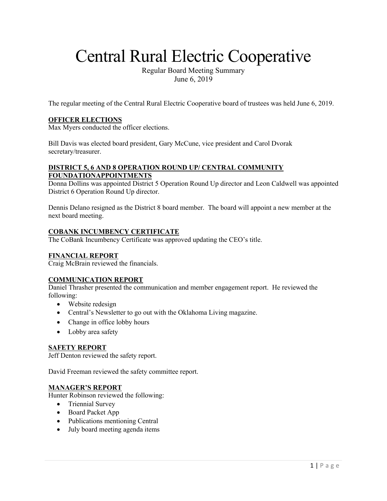# Central Rural Electric Cooperative

Regular Board Meeting Summary June 6, 2019

The regular meeting of the Central Rural Electric Cooperative board of trustees was held June 6, 2019.

## **OFFICER ELECTIONS**

Max Myers conducted the officer elections.

Bill Davis was elected board president, Gary McCune, vice president and Carol Dvorak secretary/treasurer.

# **DISTRICT 5, 6 AND 8 OPERATION ROUND UP/ CENTRAL COMMUNITY FOUNDATIONAPPOINTMENTS**

Donna Dollins was appointed District 5 Operation Round Up director and Leon Caldwell was appointed District 6 Operation Round Up director.

Dennis Delano resigned as the District 8 board member. The board will appoint a new member at the next board meeting.

## **COBANK INCUMBENCY CERTIFICATE**

The CoBank Incumbency Certificate was approved updating the CEO's title.

## **FINANCIAL REPORT**

Craig McBrain reviewed the financials.

## **COMMUNICATION REPORT**

Daniel Thrasher presented the communication and member engagement report. He reviewed the following:

- Website redesign
- Central's Newsletter to go out with the Oklahoma Living magazine.
- Change in office lobby hours
- Lobby area safety

#### **SAFETY REPORT**

Jeff Denton reviewed the safety report.

David Freeman reviewed the safety committee report.

## **MANAGER'S REPORT**

Hunter Robinson reviewed the following:

- Triennial Survey
- Board Packet App
- Publications mentioning Central
- July board meeting agenda items